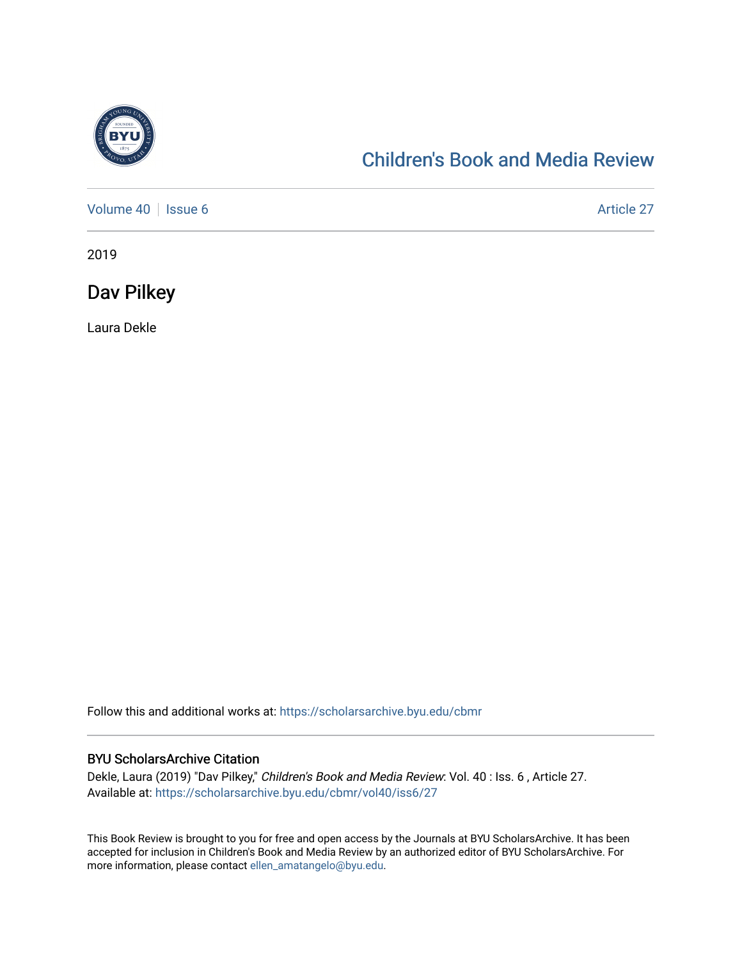

## [Children's Book and Media Review](https://scholarsarchive.byu.edu/cbmr)

[Volume 40](https://scholarsarchive.byu.edu/cbmr/vol40) | [Issue 6](https://scholarsarchive.byu.edu/cbmr/vol40/iss6) Article 27

2019

Dav Pilkey

Laura Dekle

Follow this and additional works at: [https://scholarsarchive.byu.edu/cbmr](https://scholarsarchive.byu.edu/cbmr?utm_source=scholarsarchive.byu.edu%2Fcbmr%2Fvol40%2Fiss6%2F27&utm_medium=PDF&utm_campaign=PDFCoverPages) 

## BYU ScholarsArchive Citation

Dekle, Laura (2019) "Dav Pilkey," Children's Book and Media Review: Vol. 40 : Iss. 6 , Article 27. Available at: [https://scholarsarchive.byu.edu/cbmr/vol40/iss6/27](https://scholarsarchive.byu.edu/cbmr/vol40/iss6/27?utm_source=scholarsarchive.byu.edu%2Fcbmr%2Fvol40%2Fiss6%2F27&utm_medium=PDF&utm_campaign=PDFCoverPages)

This Book Review is brought to you for free and open access by the Journals at BYU ScholarsArchive. It has been accepted for inclusion in Children's Book and Media Review by an authorized editor of BYU ScholarsArchive. For more information, please contact [ellen\\_amatangelo@byu.edu.](mailto:ellen_amatangelo@byu.edu)